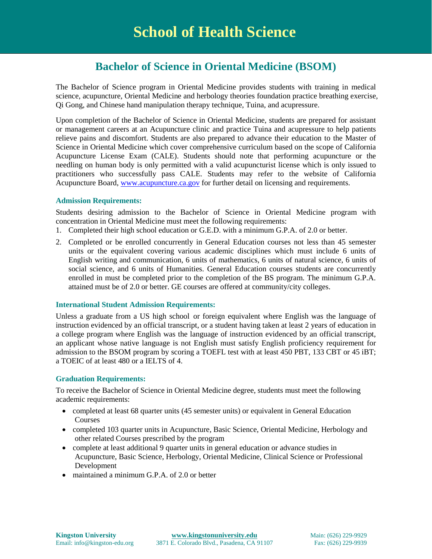# **Bachelor of Science in Oriental Medicine (BSOM)**

The Bachelor of Science program in Oriental Medicine provides students with training in medical science, acupuncture, Oriental Medicine and herbology theories foundation practice breathing exercise, Qi Gong, and Chinese hand manipulation therapy technique, Tuina, and acupressure.

Upon completion of the Bachelor of Science in Oriental Medicine, students are prepared for assistant or management careers at an Acupuncture clinic and practice Tuina and acupressure to help patients relieve pains and discomfort. Students are also prepared to advance their education to the Master of Science in Oriental Medicine which cover comprehensive curriculum based on the scope of California Acupuncture License Exam (CALE). Students should note that performing acupuncture or the needling on human body is only permitted with a valid acupuncturist license which is only issued to practitioners who successfully pass CALE. Students may refer to the website of California Acupuncture Board, [www.acupuncture.ca.gov](http://www.acupuncture.ca.gov/) for further detail on licensing and requirements.

#### **Admission Requirements:**

Students desiring admission to the Bachelor of Science in Oriental Medicine program with concentration in Oriental Medicine must meet the following requirements:

- 1. Completed their high school education or G.E.D. with a minimum G.P.A. of 2.0 or better.
- 2. Completed or be enrolled concurrently in General Education courses not less than 45 semester units or the equivalent covering various academic disciplines which must include 6 units of English writing and communication, 6 units of mathematics, 6 units of natural science, 6 units of social science, and 6 units of Humanities. General Education courses students are concurrently enrolled in must be completed prior to the completion of the BS program. The minimum G.P.A. attained must be of 2.0 or better. GE courses are offered at community/city colleges.

#### **International Student Admission Requirements:**

Unless a graduate from a US high school or foreign equivalent where English was the language of instruction evidenced by an official transcript, or a student having taken at least 2 years of education in a college program where English was the language of instruction evidenced by an official transcript, an applicant whose native language is not English must satisfy English proficiency requirement for admission to the BSOM program by scoring a TOEFL test with at least 450 PBT, 133 CBT or 45 iBT; a TOEIC of at least 480 or a IELTS of 4.

#### **Graduation Requirements:**

To receive the Bachelor of Science in Oriental Medicine degree, students must meet the following academic requirements:

- completed at least 68 quarter units (45 semester units) or equivalent in General Education Courses
- completed 103 quarter units in Acupuncture, Basic Science, Oriental Medicine, Herbology and other related Courses prescribed by the program
- complete at least additional 9 quarter units in general education or advance studies in Acupuncture, Basic Science, Herbology, Oriental Medicine, Clinical Science or Professional Development
- maintained a minimum G.P.A. of 2.0 or better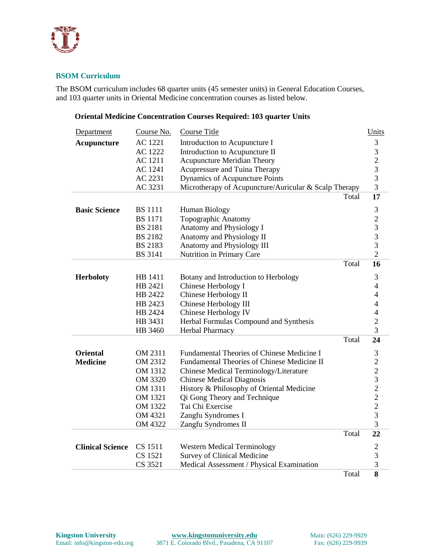

## **BSOM Curriculum**

The BSOM curriculum includes 68 quarter units (45 semester units) in General Education Courses, and 103 quarter units in Oriental Medicine concentration courses as listed below.

### **Oriental Medicine Concentration Courses Required: 103 quarter Units**

| <b>Department</b>       | Course No.     | <b>Course Title</b>                                   |       | Units                                      |
|-------------------------|----------------|-------------------------------------------------------|-------|--------------------------------------------|
| <b>Acupuncture</b>      | <b>AC</b> 1221 | Introduction to Acupuncture I                         |       | 3                                          |
|                         | AC 1222        | Introduction to Acupuncture II                        |       | 3                                          |
|                         | AC 1211        | <b>Acupuncture Meridian Theory</b>                    |       |                                            |
|                         | AC 1241        | Acupressure and Tuina Therapy                         |       | $\frac{2}{3}$                              |
|                         | AC 2231        | Dynamics of Acupuncture Points                        |       | $\overline{3}$                             |
|                         | AC 3231        | Microtherapy of Acupuncture/Auricular & Scalp Therapy |       | $\overline{3}$                             |
|                         |                |                                                       | Total | 17                                         |
| <b>Basic Science</b>    | <b>BS</b> 1111 | Human Biology                                         |       | $\mathfrak{Z}$                             |
|                         | <b>BS</b> 1171 | Topographic Anatomy                                   |       | $\overline{\mathbf{c}}$                    |
|                         | <b>BS 2181</b> | Anatomy and Physiology I                              |       | $\frac{3}{3}$                              |
|                         | <b>BS 2182</b> | Anatomy and Physiology II                             |       |                                            |
|                         | <b>BS 2183</b> | Anatomy and Physiology III                            |       | 3                                          |
|                         | <b>BS</b> 3141 | Nutrition in Primary Care                             |       | $\overline{2}$                             |
|                         |                |                                                       | Total | 16                                         |
| <b>Herboloty</b>        | HB 1411        | Botany and Introduction to Herbology                  |       | 3                                          |
|                         | HB 2421        | Chinese Herbology I                                   |       | $\overline{4}$                             |
|                         | HB 2422        | Chinese Herbology II                                  |       | $\overline{4}$                             |
|                         | HB 2423        | Chinese Herbology III                                 |       | $\overline{4}$                             |
|                         | HB 2424        | Chinese Herbology IV                                  |       | $\overline{4}$                             |
|                         | HB 3431        | Herbal Formulas Compound and Synthesis                |       | $\overline{c}$                             |
|                         | HB 3460        | Herbal Pharmacy                                       |       | 3                                          |
|                         |                |                                                       | Total | 24                                         |
| <b>Oriental</b>         | OM 2311        | Fundamental Theories of Chinese Medicine I            |       | $\mathfrak 3$                              |
| <b>Medicine</b>         | OM 2312        | Fundamental Theories of Chinese Medicine II           |       |                                            |
|                         | OM 1312        | Chinese Medical Terminology/Literature                |       | $\begin{array}{c} 2 \\ 2 \\ 3 \end{array}$ |
|                         | OM 3320        | <b>Chinese Medical Diagnosis</b>                      |       |                                            |
|                         | OM 1311        | History & Philosophy of Oriental Medicine             |       | $\overline{c}$                             |
|                         | OM 1321        | Qi Gong Theory and Technique                          |       | $\begin{array}{c} 2 \\ 2 \\ 3 \end{array}$ |
|                         | OM 1322        | Tai Chi Exercise                                      |       |                                            |
|                         | OM 4321        | Zangfu Syndromes I                                    |       |                                            |
|                         | OM 4322        | Zangfu Syndromes II                                   |       | 3                                          |
|                         |                |                                                       | Total | 22                                         |
| <b>Clinical Science</b> | CS 1511        | <b>Western Medical Terminology</b>                    |       | $\overline{c}$                             |
|                         | CS 1521        | Survey of Clinical Medicine                           |       | 3                                          |
|                         | CS 3521        | Medical Assessment / Physical Examination             |       | $\overline{3}$                             |
|                         |                |                                                       | Total | 8                                          |